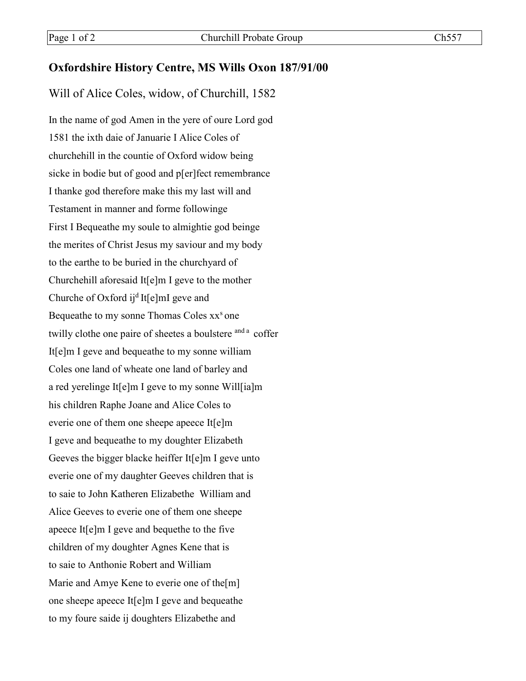## **Oxfordshire History Centre, MS Wills Oxon 187/91/00**

Will of Alice Coles, widow, of Churchill, 1582

In the name of god Amen in the yere of oure Lord god 1581 the ixth daie of Januarie I Alice Coles of churchehill in the countie of Oxford widow being sicke in bodie but of good and p[er]fect remembrance I thanke god therefore make this my last will and Testament in manner and forme followinge First I Bequeathe my soule to almightie god beinge the merites of Christ Jesus my saviour and my body to the earthe to be buried in the churchyard of Churchehill aforesaid It[e]m I geve to the mother Churche of Oxford ij<sup>d</sup> It[e]mI geve and Bequeathe to my sonne Thomas Coles xx<sup>s</sup> one twilly clothe one paire of sheetes a boulstere <sup>and a</sup> coffer It[e]m I geve and bequeathe to my sonne william Coles one land of wheate one land of barley and a red yerelinge It[e]m I geve to my sonne Will[ia]m his children Raphe Joane and Alice Coles to everie one of them one sheepe apeece It[e]m I geve and bequeathe to my doughter Elizabeth Geeves the bigger blacke heiffer It[e]m I geve unto everie one of my daughter Geeves children that is to saie to John Katheren Elizabethe William and Alice Geeves to everie one of them one sheepe apeece It[e]m I geve and bequethe to the five children of my doughter Agnes Kene that is to saie to Anthonie Robert and William Marie and Amye Kene to everie one of the[m] one sheepe apeece It[e]m I geve and bequeathe to my foure saide ij doughters Elizabethe and